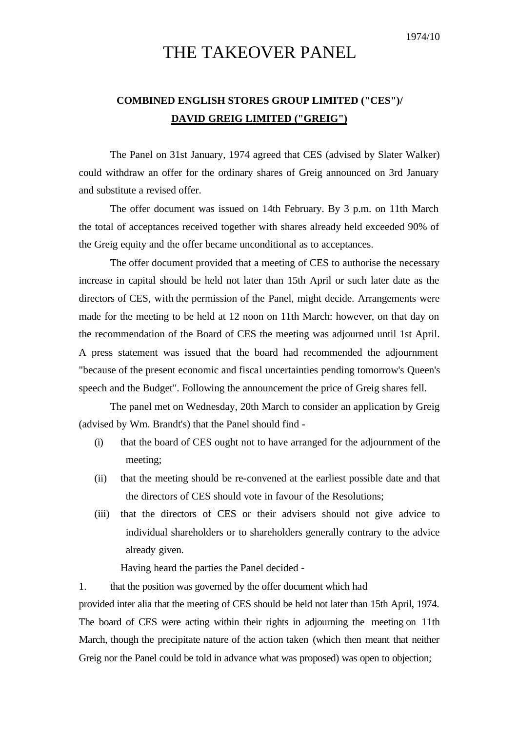## THE TAKEOVER PANEL

## **COMBINED ENGLISH STORES GROUP LIMITED ("CES")/ DAVID GREIG LIMITED ("GREIG")**

The Panel on 31st January, 1974 agreed that CES (advised by Slater Walker) could withdraw an offer for the ordinary shares of Greig announced on 3rd January and substitute a revised offer.

The offer document was issued on 14th February. By 3 p.m. on 11th March the total of acceptances received together with shares already held exceeded 90% of the Greig equity and the offer became unconditional as to acceptances.

The offer document provided that a meeting of CES to authorise the necessary increase in capital should be held not later than 15th April or such later date as the directors of CES, with the permission of the Panel, might decide. Arrangements were made for the meeting to be held at 12 noon on 11th March: however, on that day on the recommendation of the Board of CES the meeting was adjourned until 1st April. A press statement was issued that the board had recommended the adjournment "because of the present economic and fiscal uncertainties pending tomorrow's Queen's speech and the Budget". Following the announcement the price of Greig shares fell.

The panel met on Wednesday, 20th March to consider an application by Greig (advised by Wm. Brandt's) that the Panel should find -

- (i) that the board of CES ought not to have arranged for the adjournment of the meeting;
- (ii) that the meeting should be re-convened at the earliest possible date and that the directors of CES should vote in favour of the Resolutions;
- (iii) that the directors of CES or their advisers should not give advice to individual shareholders or to shareholders generally contrary to the advice already given.

Having heard the parties the Panel decided -

1. that the position was governed by the offer document which had provided inter alia that the meeting of CES should be held not later than 15th April, 1974. The board of CES were acting within their rights in adjourning the meeting on 11th March, though the precipitate nature of the action taken (which then meant that neither Greig nor the Panel could be told in advance what was proposed) was open to objection;